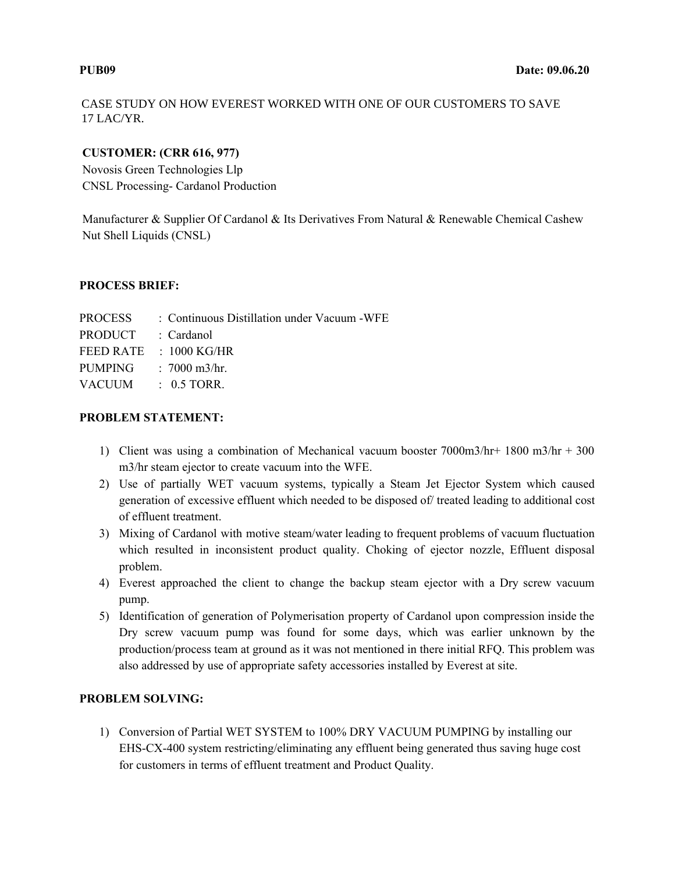CASE STUDY ON HOW EVEREST WORKED WITH ONE OF OUR CUSTOMERS TO SAVE 17 LAC/YR.

### **CUSTOMER: (CRR 616, 977)**

Novosis Green Technologies Llp CNSL Processing- Cardanol Production

Manufacturer & Supplier Of Cardanol & Its Derivatives From Natural & Renewable Chemical Cashew Nut Shell Liquids (CNSL)

### **PROCESS BRIEF:**

| PROCESS   | : Continuous Distillation under Vacuum - WFE |
|-----------|----------------------------------------------|
| PRODUCT   | : Cardanol                                   |
| FEED RATE | $\pm$ 1000 KG/HR                             |
| PUMPING   | : $7000 \text{ m}^3/\text{hr}$ .             |
| VACUUM    | $\div$ 0.5 TORR.                             |
|           |                                              |

## **PROBLEM STATEMENT:**

- 1) Client was using a combination of Mechanical vacuum booster 7000m3/hr+ 1800 m3/hr + 300 m3/hr steam ejector to create vacuum into the WFE.
- 2) Use of partially WET vacuum systems, typically a Steam Jet Ejector System which caused generation of excessive effluent which needed to be disposed of/ treated leading to additional cost of effluent treatment.
- 3) Mixing of Cardanol with motive steam/water leading to frequent problems of vacuum fluctuation which resulted in inconsistent product quality. Choking of ejector nozzle, Effluent disposal problem.
- 4) Everest approached the client to change the backup steam ejector with a Dry screw vacuum pump.
- 5) Identification of generation of Polymerisation property of Cardanol upon compression inside the Dry screw vacuum pump was found for some days, which was earlier unknown by the production/process team at ground as it was not mentioned in there initial RFQ. This problem was also addressed by use of appropriate safety accessories installed by Everest at site.

## **PROBLEM SOLVING:**

1) Conversion of Partial WET SYSTEM to 100% DRY VACUUM PUMPING by installing our EHS-CX-400 system restricting/eliminating any effluent being generated thus saving huge cost for customers in terms of effluent treatment and Product Quality.